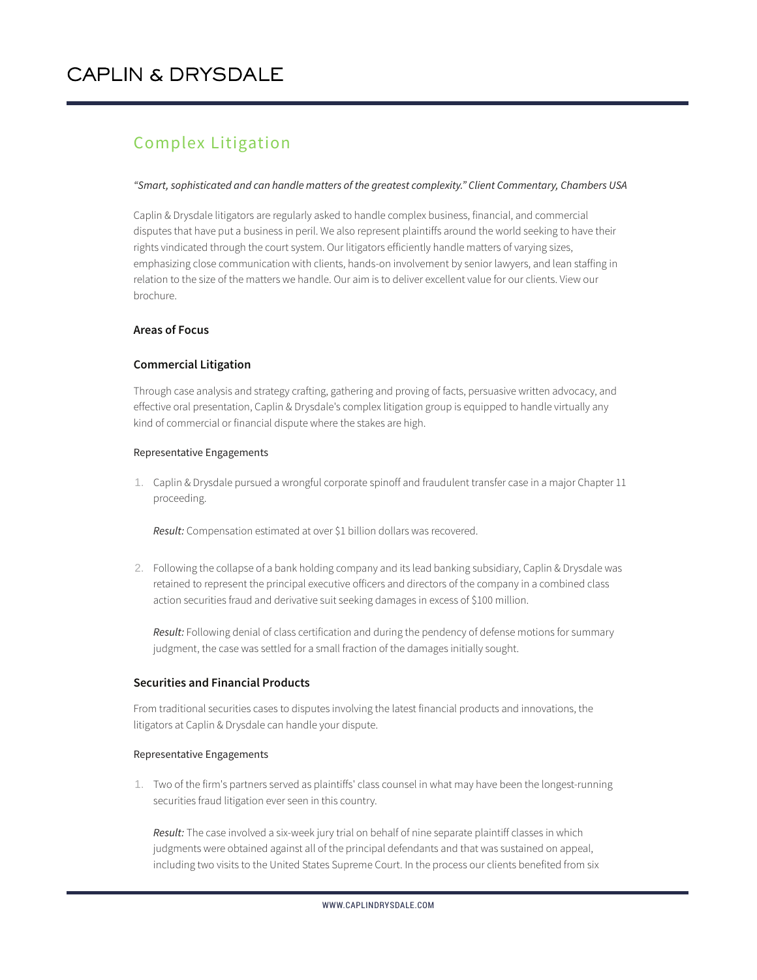# Complex Litigation

## *"Smart, sophisticated and can handle matters of the greatest complexity." Client Commentary, Chambers USA*

Caplin & Drysdale litigators are regularly asked to handle complex business, financial, and commercial disputes that have put a business in peril. We also represent plaintiffs around the world seeking to have their rights vindicated through the court system. Our litigators efficiently handle matters of varying sizes, emphasizing close communication with clients, hands-on involvement by senior lawyers, and lean staffing in relation to the size of the matters we handle. Our aim is to deliver excellent value for our clients. View our brochure.

# **Areas of Focus**

# **Commercial Litigation**

Through case analysis and strategy crafting, gathering and proving of facts, persuasive written advocacy, and effective oral presentation, Caplin & Drysdale's complex litigation group is equipped to handle virtually any kind of commercial or financial dispute where the stakes are high.

#### Representative Engagements

1. Caplin & Drysdale pursued a wrongful corporate spinoff and fraudulent transfer case in a major Chapter 11 proceeding.

*Result:* Compensation estimated at over \$1 billion dollars was recovered.

2. Following the collapse of a bank holding company and its lead banking subsidiary, Caplin & Drysdale was retained to represent the principal executive officers and directors of the company in a combined class action securities fraud and derivative suit seeking damages in excess of \$100 million.

*Result:* Following denial of class certification and during the pendency of defense motions for summary judgment, the case was settled for a small fraction of the damages initially sought.

## **Securities and Financial Products**

From traditional securities cases to disputes involving the latest financial products and innovations, the litigators at Caplin & Drysdale can handle your dispute.

## Representative Engagements

1. Two of the firm's partners served as plaintiffs' class counsel in what may have been the longest-running securities fraud litigation ever seen in this country.

*Result:* The case involved a six-week jury trial on behalf of nine separate plaintiff classes in which judgments were obtained against all of the principal defendants and that was sustained on appeal, including two visits to the United States Supreme Court. In the process our clients benefited from six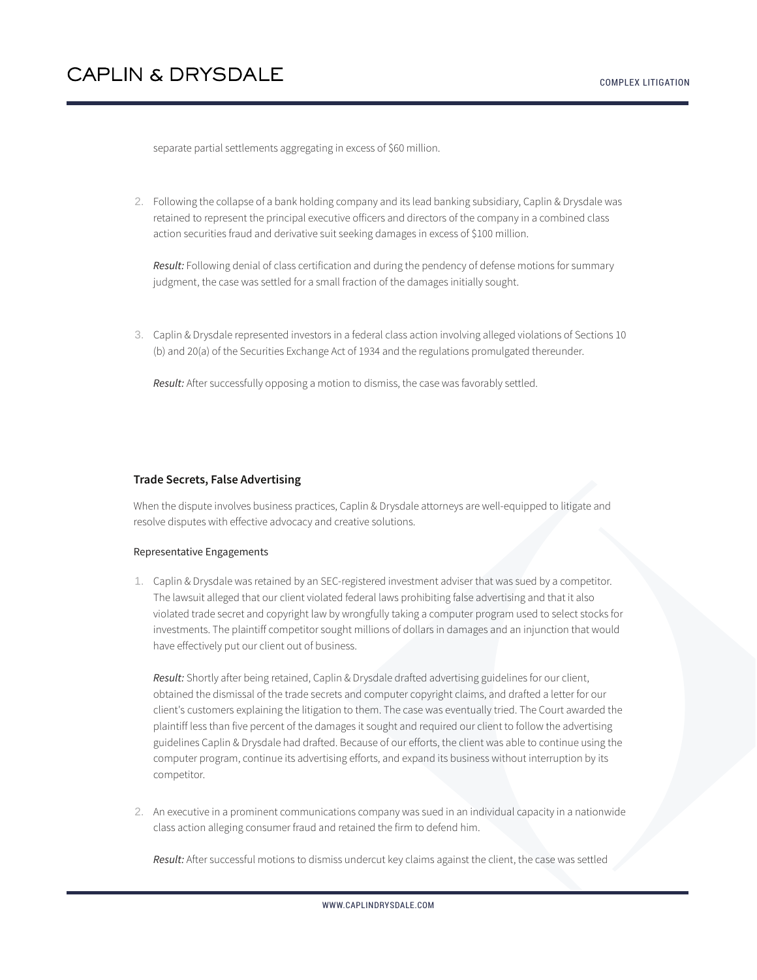separate partial settlements aggregating in excess of \$60 million.

2. Following the collapse of a bank holding company and its lead banking subsidiary, Caplin & Drysdale was retained to represent the principal executive officers and directors of the company in a combined class action securities fraud and derivative suit seeking damages in excess of \$100 million.

*Result:* Following denial of class certification and during the pendency of defense motions for summary judgment, the case was settled for a small fraction of the damages initially sought.

3. Caplin & Drysdale represented investors in a federal class action involving alleged violations of Sections 10 (b) and 20(a) of the Securities Exchange Act of 1934 and the regulations promulgated thereunder.

*Result:* After successfully opposing a motion to dismiss, the case was favorably settled.

## **Trade Secrets, False Advertising**

When the dispute involves business practices, Caplin & Drysdale attorneys are well-equipped to litigate and resolve disputes with effective advocacy and creative solutions.

#### Representative Engagements

1. Caplin & Drysdale was retained by an SEC-registered investment adviser that was sued by a competitor. The lawsuit alleged that our client violated federal laws prohibiting false advertising and that it also violated trade secret and copyright law by wrongfully taking a computer program used to select stocks for investments. The plaintiff competitor sought millions of dollars in damages and an injunction that would have effectively put our client out of business.

*Result:* Shortly after being retained, Caplin & Drysdale drafted advertising guidelines for our client, obtained the dismissal of the trade secrets and computer copyright claims, and drafted a letter for our client's customers explaining the litigation to them. The case was eventually tried. The Court awarded the plaintiff less than five percent of the damages it sought and required our client to follow the advertising guidelines Caplin & Drysdale had drafted. Because of our efforts, the client was able to continue using the computer program, continue its advertising efforts, and expand its business without interruption by its competitor.

2. An executive in a prominent communications company was sued in an individual capacity in a nationwide class action alleging consumer fraud and retained the firm to defend him.

*Result:* After successful motions to dismiss undercut key claims against the client, the case was settled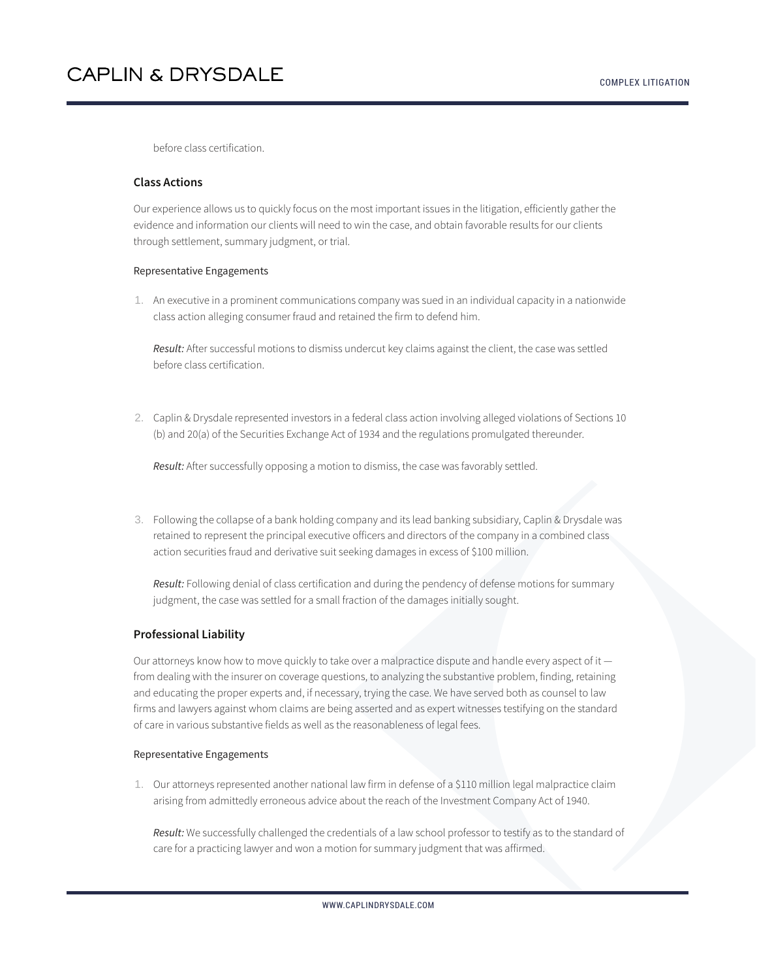before class certification.

# **Class Actions**

Our experience allows us to quickly focus on the most important issues in the litigation, efficiently gather the evidence and information our clients will need to win the case, and obtain favorable results for our clients through settlement, summary judgment, or trial.

### Representative Engagements

1. An executive in a prominent communications company was sued in an individual capacity in a nationwide class action alleging consumer fraud and retained the firm to defend him.

*Result:* After successful motions to dismiss undercut key claims against the client, the case was settled before class certification.

2. Caplin & Drysdale represented investors in a federal class action involving alleged violations of Sections 10 (b) and 20(a) of the Securities Exchange Act of 1934 and the regulations promulgated thereunder.

*Result:* After successfully opposing a motion to dismiss, the case was favorably settled.

3. Following the collapse of a bank holding company and its lead banking subsidiary, Caplin & Drysdale was retained to represent the principal executive officers and directors of the company in a combined class action securities fraud and derivative suit seeking damages in excess of \$100 million.

*Result:* Following denial of class certification and during the pendency of defense motions for summary judgment, the case was settled for a small fraction of the damages initially sought.

## **Professional Liability**

Our attorneys know how to move quickly to take over a malpractice dispute and handle every aspect of it from dealing with the insurer on coverage questions, to analyzing the substantive problem, finding, retaining and educating the proper experts and, if necessary, trying the case. We have served both as counsel to law firms and lawyers against whom claims are being asserted and as expert witnesses testifying on the standard of care in various substantive fields as well as the reasonableness of legal fees.

#### Representative Engagements

1. Our attorneys represented another national law firm in defense of a \$110 million legal malpractice claim arising from admittedly erroneous advice about the reach of the Investment Company Act of 1940.

*Result:* We successfully challenged the credentials of a law school professor to testify as to the standard of care for a practicing lawyer and won a motion for summary judgment that was affirmed.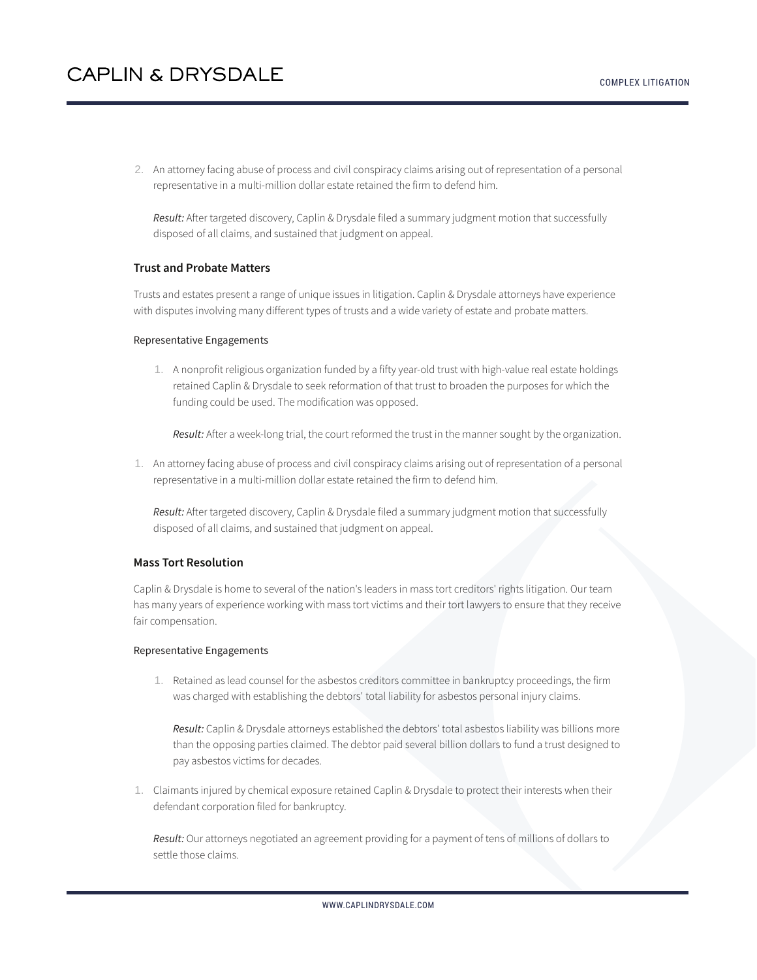2. An attorney facing abuse of process and civil conspiracy claims arising out of representation of a personal representative in a multi-million dollar estate retained the firm to defend him.

*Result:* After targeted discovery, Caplin & Drysdale filed a summary judgment motion that successfully disposed of all claims, and sustained that judgment on appeal.

## **Trust and Probate Matters**

Trusts and estates present a range of unique issues in litigation. Caplin & Drysdale attorneys have experience with disputes involving many different types of trusts and a wide variety of estate and probate matters.

#### Representative Engagements

1. A nonprofit religious organization funded by a fifty year-old trust with high-value real estate holdings retained Caplin & Drysdale to seek reformation of that trust to broaden the purposes for which the funding could be used. The modification was opposed.

*Result:* After a week-long trial, the court reformed the trust in the manner sought by the organization.

1. An attorney facing abuse of process and civil conspiracy claims arising out of representation of a personal representative in a multi-million dollar estate retained the firm to defend him.

*Result:* After targeted discovery, Caplin & Drysdale filed a summary judgment motion that successfully disposed of all claims, and sustained that judgment on appeal.

#### **Mass Tort Resolution**

Caplin & Drysdale is home to several of the nation's leaders in mass tort creditors' rights litigation. Our team has many years of experience working with mass tort victims and their tort lawyers to ensure that they receive fair compensation.

#### Representative Engagements

1. Retained as lead counsel for the asbestos creditors committee in bankruptcy proceedings, the firm was charged with establishing the debtors' total liability for asbestos personal injury claims.

*Result:* Caplin & Drysdale attorneys established the debtors' total asbestos liability was billions more than the opposing parties claimed. The debtor paid several billion dollars to fund a trust designed to pay asbestos victims for decades.

1. Claimants injured by chemical exposure retained Caplin & Drysdale to protect their interests when their defendant corporation filed for bankruptcy.

*Result:* Our attorneys negotiated an agreement providing for a payment of tens of millions of dollars to settle those claims.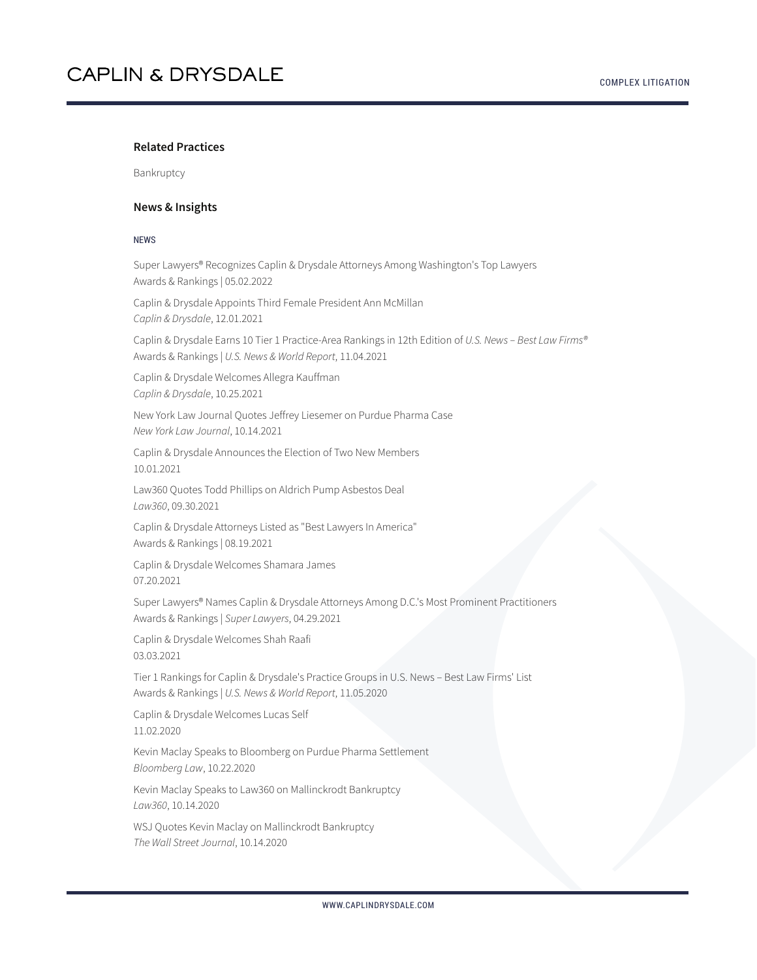### **Related Practices**

Bankruptcy

### **News & Insights**

#### NEWS

Super Lawyers® Recognizes Caplin & Drysdale Attorneys Among Washington's Top Lawyers Awards & Rankings | 05.02.2022

Caplin & Drysdale Appoints Third Female President Ann McMillan *Caplin & Drysdale*, 12.01.2021

Caplin & Drysdale Earns 10 Tier 1 Practice-Area Rankings in 12th Edition of *U.S. News – Best Law Firms®* Awards & Rankings | *U.S. News & World Report*, 11.04.2021

Caplin & Drysdale Welcomes Allegra Kauffman *Caplin & Drysdale*, 10.25.2021

New York Law Journal Quotes Jeffrey Liesemer on Purdue Pharma Case *New York Law Journal*, 10.14.2021

Caplin & Drysdale Announces the Election of Two New Members 10.01.2021

Law360 Quotes Todd Phillips on Aldrich Pump Asbestos Deal *Law360*, 09.30.2021

Caplin & Drysdale Attorneys Listed as "Best Lawyers In America" Awards & Rankings | 08.19.2021

Caplin & Drysdale Welcomes Shamara James 07.20.2021

Super Lawyers® Names Caplin & Drysdale Attorneys Among D.C.'s Most Prominent Practitioners Awards & Rankings | *Super Lawyers*, 04.29.2021

Caplin & Drysdale Welcomes Shah Raafi 03.03.2021

Tier 1 Rankings for Caplin & Drysdale's Practice Groups in U.S. News – Best Law Firms' List Awards & Rankings | *U.S. News & World Report*, 11.05.2020

Caplin & Drysdale Welcomes Lucas Self 11.02.2020

Kevin Maclay Speaks to Bloomberg on Purdue Pharma Settlement *Bloomberg Law*, 10.22.2020

Kevin Maclay Speaks to Law360 on Mallinckrodt Bankruptcy *Law360*, 10.14.2020

WSJ Quotes Kevin Maclay on Mallinckrodt Bankruptcy *The Wall Street Journal*, 10.14.2020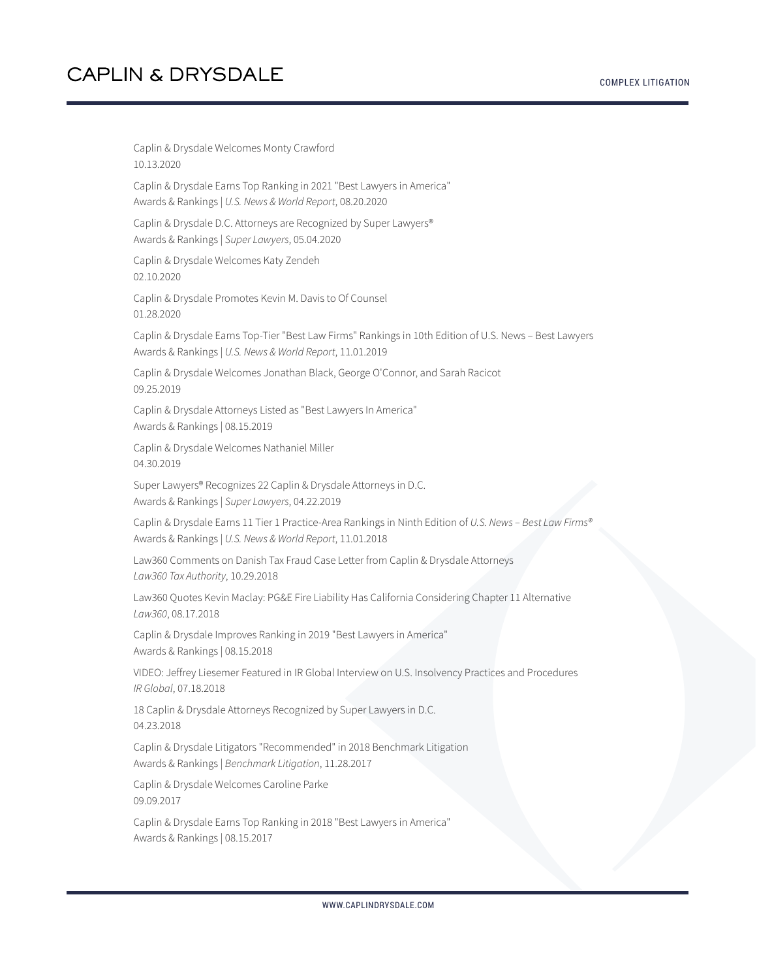Caplin & Drysdale Welcomes Monty Crawford 10.13.2020 Caplin & Drysdale Earns Top Ranking in 2021 "Best Lawyers in America" Awards & Rankings | *U.S. News & World Report*, 08.20.2020 Caplin & Drysdale D.C. Attorneys are Recognized by Super Lawyers® Awards & Rankings | *Super Lawyers*, 05.04.2020 Caplin & Drysdale Welcomes Katy Zendeh 02.10.2020 Caplin & Drysdale Promotes Kevin M. Davis to Of Counsel 01.28.2020 Caplin & Drysdale Earns Top-Tier "Best Law Firms" Rankings in 10th Edition of U.S. News – Best Lawyers Awards & Rankings | *U.S. News & World Report*, 11.01.2019 Caplin & Drysdale Welcomes Jonathan Black, George O'Connor, and Sarah Racicot 09.25.2019 Caplin & Drysdale Attorneys Listed as "Best Lawyers In America" Awards & Rankings | 08.15.2019 Caplin & Drysdale Welcomes Nathaniel Miller 04.30.2019 Super Lawyers® Recognizes 22 Caplin & Drysdale Attorneys in D.C. Awards & Rankings | *Super Lawyers*, 04.22.2019 Caplin & Drysdale Earns 11 Tier 1 Practice-Area Rankings in Ninth Edition of *U.S. News – Best Law Firms®* Awards & Rankings | *U.S. News & World Report*, 11.01.2018 Law360 Comments on Danish Tax Fraud Case Letter from Caplin & Drysdale Attorneys *Law360 Tax Authority*, 10.29.2018 Law360 Quotes Kevin Maclay: PG&E Fire Liability Has California Considering Chapter 11 Alternative *Law360*, 08.17.2018 Caplin & Drysdale Improves Ranking in 2019 "Best Lawyers in America" Awards & Rankings | 08.15.2018 VIDEO: Jeffrey Liesemer Featured in IR Global Interview on U.S. Insolvency Practices and Procedures *IR Global*, 07.18.2018 18 Caplin & Drysdale Attorneys Recognized by Super Lawyers in D.C. 04.23.2018 Caplin & Drysdale Litigators "Recommended" in 2018 Benchmark Litigation Awards & Rankings | *Benchmark Litigation*, 11.28.2017 Caplin & Drysdale Welcomes Caroline Parke 09.09.2017 Caplin & Drysdale Earns Top Ranking in 2018 "Best Lawyers in America" Awards & Rankings | 08.15.2017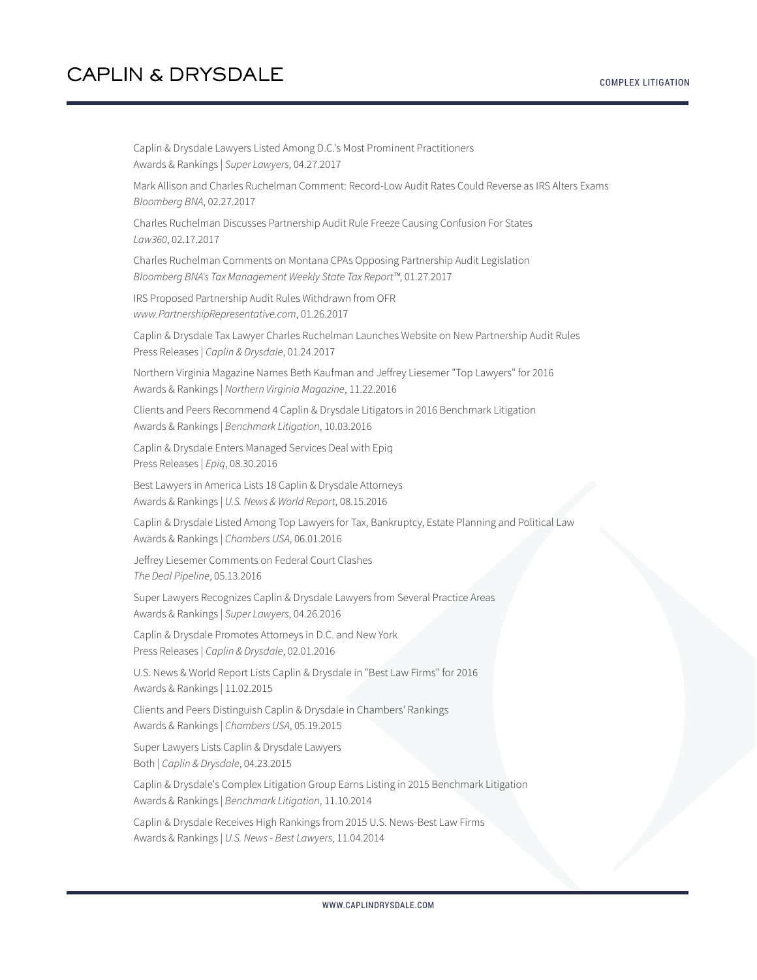Caplin & Drysdale Lawyers Listed Among D.C.'s Most Prominent Practitioners Awards & Rankings | *Super Lawyers*, 04.27.2017 Mark Allison and Charles Ruchelman Comment: Record-Low Audit Rates Could Reverse as IRS Alters Exams *Bloomberg BNA*, 02.27.2017 Charles Ruchelman Discusses Partnership Audit Rule Freeze Causing Confusion For States *Law360*, 02.17.2017 Charles Ruchelman Comments on Montana CPAs Opposing Partnership Audit Legislation *Bloomberg BNA's Tax Management Weekly State Tax Report™*, 01.27.2017 IRS Proposed Partnership Audit Rules Withdrawn from OFR *www.PartnershipRepresentative.com*, 01.26.2017 Caplin & Drysdale Tax Lawyer Charles Ruchelman Launches Website on New Partnership Audit Rules Press Releases | *Caplin & Drysdale*, 01.24.2017 Northern Virginia Magazine Names Beth Kaufman and Jeffrey Liesemer "Top Lawyers" for 2016 Awards & Rankings | *Northern Virginia Magazine*, 11.22.2016 Clients and Peers Recommend 4 Caplin & Drysdale Litigators in 2016 Benchmark Litigation Awards & Rankings | *Benchmark Litigation*, 10.03.2016 Caplin & Drysdale Enters Managed Services Deal with Epiq Press Releases | *Epiq*, 08.30.2016 Best Lawyers in America Lists 18 Caplin & Drysdale Attorneys Awards & Rankings | *U.S. News & World Report*, 08.15.2016 Caplin & Drysdale Listed Among Top Lawyers for Tax, Bankruptcy, Estate Planning and Political Law Awards & Rankings | *Chambers USA*, 06.01.2016 Jeffrey Liesemer Comments on Federal Court Clashes *The Deal Pipeline*, 05.13.2016 Super Lawyers Recognizes Caplin & Drysdale Lawyers from Several Practice Areas Awards & Rankings | *Super Lawyers*, 04.26.2016 Caplin & Drysdale Promotes Attorneys in D.C. and New York Press Releases | *Caplin & Drysdale*, 02.01.2016 U.S. News & World Report Lists Caplin & Drysdale in "Best Law Firms" for 2016 Awards & Rankings | 11.02.2015 Clients and Peers Distinguish Caplin & Drysdale in Chambers' Rankings Awards & Rankings | *Chambers USA*, 05.19.2015 Super Lawyers Lists Caplin & Drysdale Lawyers Both | *Caplin & Drysdale*, 04.23.2015 Caplin & Drysdale's Complex Litigation Group Earns Listing in 2015 Benchmark Litigation Awards & Rankings | *Benchmark Litigation*, 11.10.2014 Caplin & Drysdale Receives High Rankings from 2015 U.S. News-Best Law Firms Awards & Rankings | *U.S. News - Best Lawyers*, 11.04.2014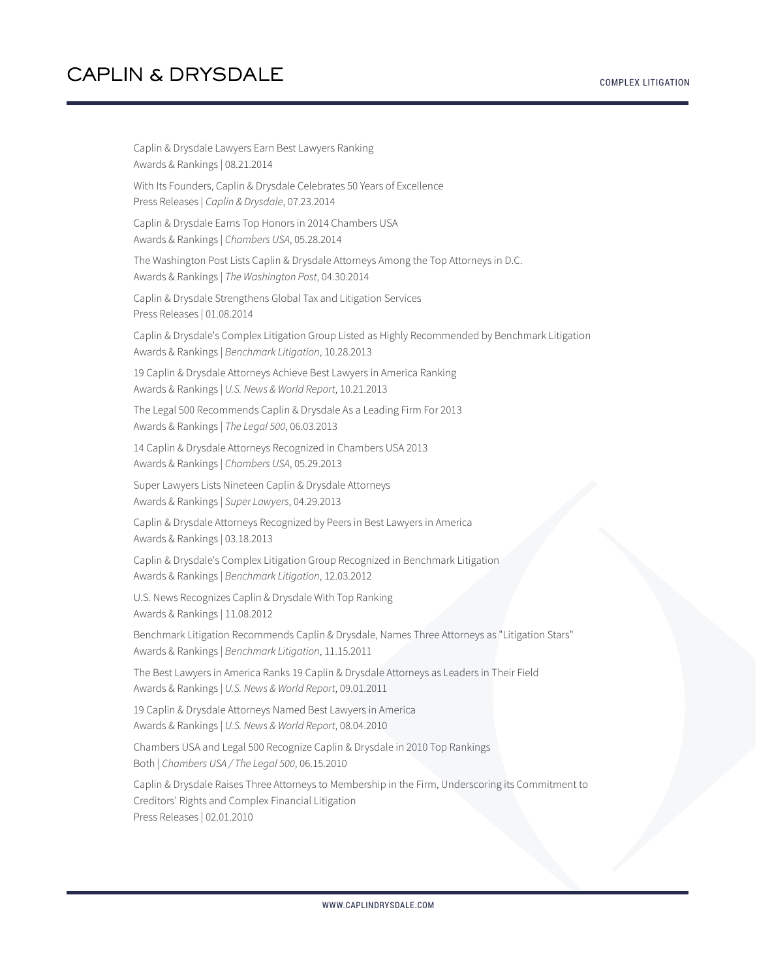| Caplin & Drysdale Lawyers Earn Best Lawyers Ranking<br>Awards & Rankings   08.21.2014                                                                                                   |
|-----------------------------------------------------------------------------------------------------------------------------------------------------------------------------------------|
| With Its Founders, Caplin & Drysdale Celebrates 50 Years of Excellence<br>Press Releases   Caplin & Drysdale, 07.23.2014                                                                |
| Caplin & Drysdale Earns Top Honors in 2014 Chambers USA<br>Awards & Rankings   Chambers USA, 05.28.2014                                                                                 |
| The Washington Post Lists Caplin & Drysdale Attorneys Among the Top Attorneys in D.C.<br>Awards & Rankings   The Washington Post, 04.30.2014                                            |
| Caplin & Drysdale Strengthens Global Tax and Litigation Services<br>Press Releases   01.08.2014                                                                                         |
| Caplin & Drysdale's Complex Litigation Group Listed as Highly Recommended by Benchmark Litigation<br>Awards & Rankings   Benchmark Litigation, 10.28.2013                               |
| 19 Caplin & Drysdale Attorneys Achieve Best Lawyers in America Ranking<br>Awards & Rankings   U.S. News & World Report, 10.21.2013                                                      |
| The Legal 500 Recommends Caplin & Drysdale As a Leading Firm For 2013<br>Awards & Rankings   The Legal 500, 06.03.2013                                                                  |
| 14 Caplin & Drysdale Attorneys Recognized in Chambers USA 2013<br>Awards & Rankings   Chambers USA, 05.29.2013                                                                          |
| Super Lawyers Lists Nineteen Caplin & Drysdale Attorneys<br>Awards & Rankings   Super Lawyers, 04.29.2013                                                                               |
| Caplin & Drysdale Attorneys Recognized by Peers in Best Lawyers in America<br>Awards & Rankings   03.18.2013                                                                            |
| Caplin & Drysdale's Complex Litigation Group Recognized in Benchmark Litigation<br>Awards & Rankings   Benchmark Litigation, 12.03.2012                                                 |
| U.S. News Recognizes Caplin & Drysdale With Top Ranking<br>Awards & Rankings   11.08.2012                                                                                               |
| Benchmark Litigation Recommends Caplin & Drysdale, Names Three Attorneys as "Litigation Stars"<br>Awards & Rankings   Benchmark Litigation, 11.15.2011                                  |
| The Best Lawyers in America Ranks 19 Caplin & Drysdale Attorneys as Leaders in Their Field<br>Awards & Rankings   U.S. News & World Report, 09.01.2011                                  |
| 19 Caplin & Drysdale Attorneys Named Best Lawyers in America<br>Awards & Rankings   U.S. News & World Report, 08.04.2010                                                                |
| Chambers USA and Legal 500 Recognize Caplin & Drysdale in 2010 Top Rankings<br>Both   Chambers USA / The Legal 500, 06.15.2010                                                          |
| Caplin & Drysdale Raises Three Attorneys to Membership in the Firm, Underscoring its Commitment to<br>Creditors' Rights and Complex Financial Litigation<br>Press Releases   02.01.2010 |
|                                                                                                                                                                                         |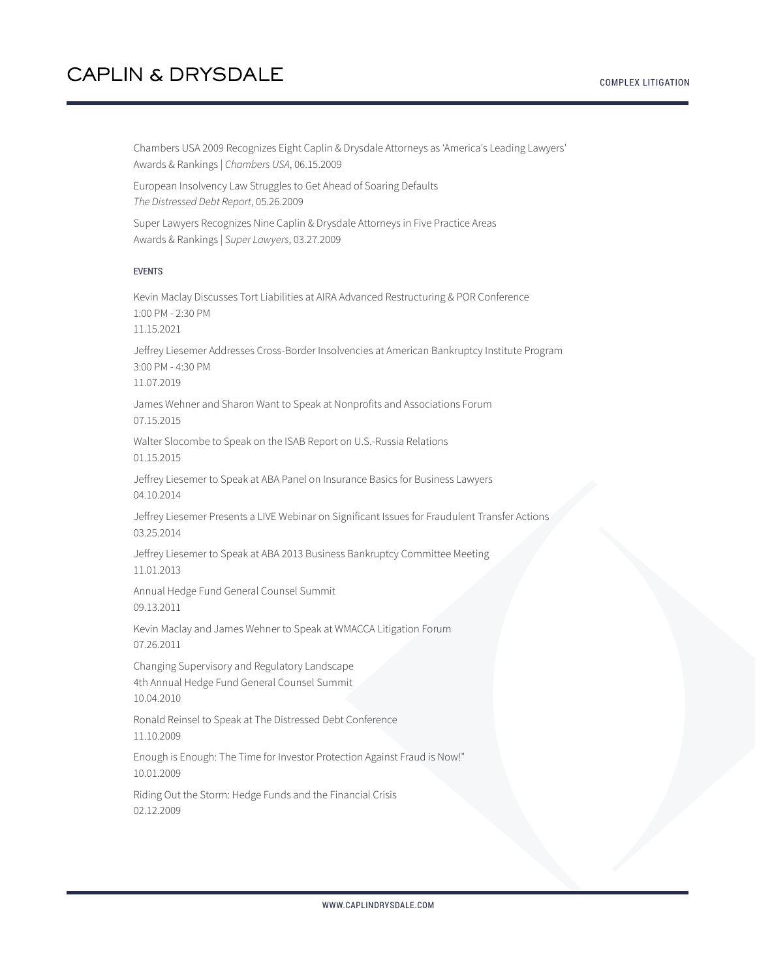Chambers USA 2009 Recognizes Eight Caplin & Drysdale Attorneys as 'America's Leading Lawyers' Awards & Rankings | *Chambers USA*, 06.15.2009

European Insolvency Law Struggles to Get Ahead of Soaring Defaults *The Distressed Debt Report*, 05.26.2009

Super Lawyers Recognizes Nine Caplin & Drysdale Attorneys in Five Practice Areas Awards & Rankings | *Super Lawyers*, 03.27.2009

#### EVENTS

Kevin Maclay Discusses Tort Liabilities at AIRA Advanced Restructuring & POR Conference 1:00 PM - 2:30 PM 11.15.2021 Jeffrey Liesemer Addresses Cross-Border Insolvencies at American Bankruptcy Institute Program 3:00 PM - 4:30 PM 11.07.2019

James Wehner and Sharon Want to Speak at Nonprofits and Associations Forum 07.15.2015

Walter Slocombe to Speak on the ISAB Report on U.S.-Russia Relations 01.15.2015

Jeffrey Liesemer to Speak at ABA Panel on Insurance Basics for Business Lawyers 04.10.2014

Jeffrey Liesemer Presents a LIVE Webinar on Significant Issues for Fraudulent Transfer Actions 03.25.2014

Jeffrey Liesemer to Speak at ABA 2013 Business Bankruptcy Committee Meeting 11.01.2013

Annual Hedge Fund General Counsel Summit 09.13.2011

Kevin Maclay and James Wehner to Speak at WMACCA Litigation Forum 07.26.2011

Changing Supervisory and Regulatory Landscape 4th Annual Hedge Fund General Counsel Summit 10.04.2010

Ronald Reinsel to Speak at The Distressed Debt Conference 11.10.2009

Enough is Enough: The Time for Investor Protection Against Fraud is Now!" 10.01.2009

Riding Out the Storm: Hedge Funds and the Financial Crisis 02.12.2009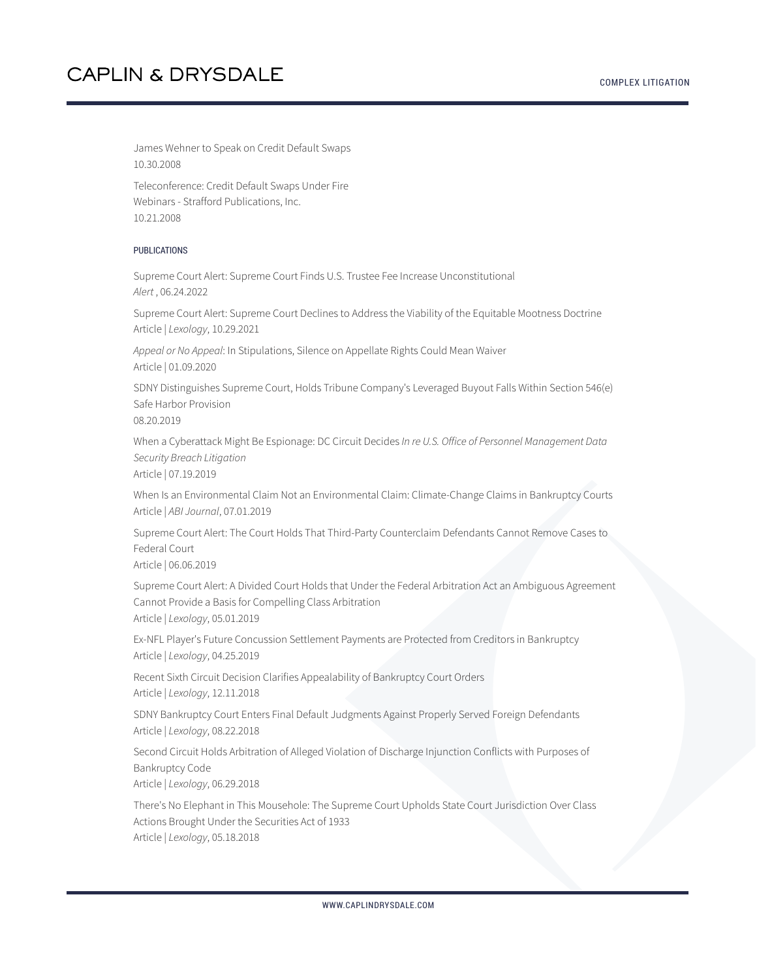#### COMPLEX LITIGATION

# **CAPLIN & DRYSDALE**

James Wehner to Speak on Credit Default Swaps 10.30.2008

Teleconference: Credit Default Swaps Under Fire Webinars - Strafford Publications, Inc. 10.21.2008

#### PUBLICATIONS

Supreme Court Alert: Supreme Court Finds U.S. Trustee Fee Increase Unconstitutional *Alert* , 06.24.2022

Supreme Court Alert: Supreme Court Declines to Address the Viability of the Equitable Mootness Doctrine Article | *Lexology*, 10.29.2021

*Appeal or No Appeal*: In Stipulations, Silence on Appellate Rights Could Mean Waiver Article | 01.09.2020

SDNY Distinguishes Supreme Court, Holds Tribune Company's Leveraged Buyout Falls Within Section 546(e) Safe Harbor Provision

08.20.2019

When a Cyberattack Might Be Espionage: DC Circuit Decides *In re U.S. Office of Personnel Management Data Security Breach Litigation*

Article | 07.19.2019

When Is an Environmental Claim Not an Environmental Claim: Climate-Change Claims in Bankruptcy Courts Article | *ABI Journal*, 07.01.2019

Supreme Court Alert: The Court Holds That Third-Party Counterclaim Defendants Cannot Remove Cases to Federal Court

Article | 06.06.2019

Supreme Court Alert: A Divided Court Holds that Under the Federal Arbitration Act an Ambiguous Agreement Cannot Provide a Basis for Compelling Class Arbitration Article | *Lexology*, 05.01.2019

Ex-NFL Player's Future Concussion Settlement Payments are Protected from Creditors in Bankruptcy Article | *Lexology*, 04.25.2019

Recent Sixth Circuit Decision Clarifies Appealability of Bankruptcy Court Orders Article | *Lexology*, 12.11.2018

SDNY Bankruptcy Court Enters Final Default Judgments Against Properly Served Foreign Defendants Article | *Lexology*, 08.22.2018

Second Circuit Holds Arbitration of Alleged Violation of Discharge Injunction Conflicts with Purposes of Bankruptcy Code

Article | *Lexology*, 06.29.2018

There's No Elephant in This Mousehole: The Supreme Court Upholds State Court Jurisdiction Over Class Actions Brought Under the Securities Act of 1933 Article | *Lexology*, 05.18.2018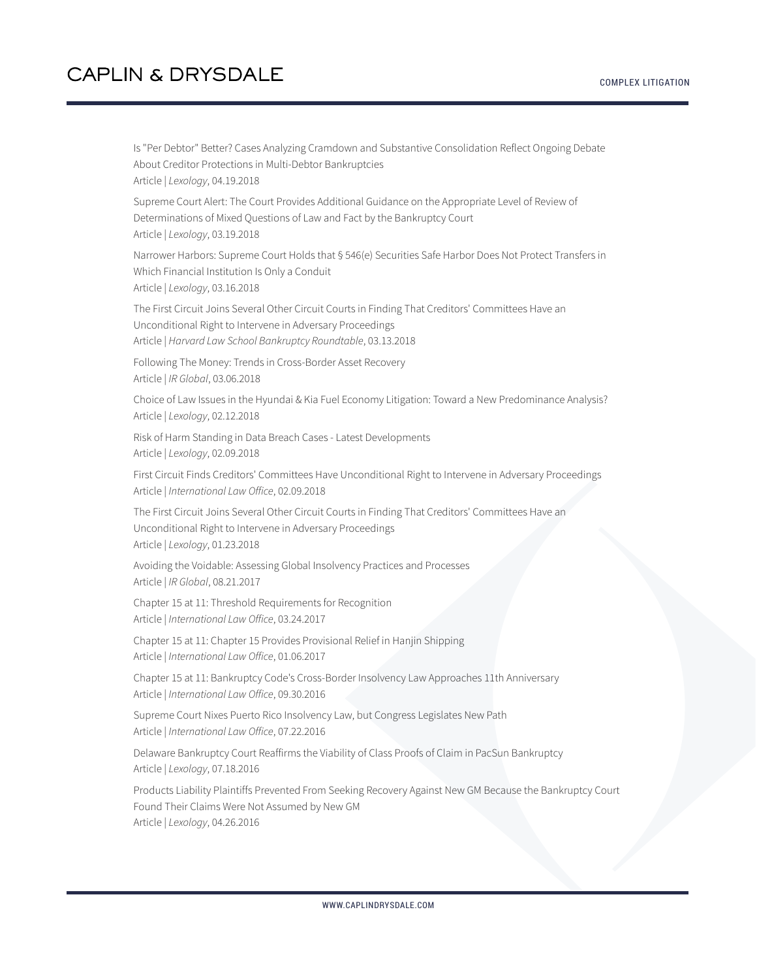Is "Per Debtor" Better? Cases Analyzing Cramdown and Substantive Consolidation Reflect Ongoing Debate About Creditor Protections in Multi-Debtor Bankruptcies Article | *Lexology*, 04.19.2018

Supreme Court Alert: The Court Provides Additional Guidance on the Appropriate Level of Review of Determinations of Mixed Questions of Law and Fact by the Bankruptcy Court Article | *Lexology*, 03.19.2018

Narrower Harbors: Supreme Court Holds that § 546(e) Securities Safe Harbor Does Not Protect Transfers in Which Financial Institution Is Only a Conduit Article | *Lexology*, 03.16.2018

The First Circuit Joins Several Other Circuit Courts in Finding That Creditors' Committees Have an Unconditional Right to Intervene in Adversary Proceedings Article | *Harvard Law School Bankruptcy Roundtable*, 03.13.2018

Following The Money: Trends in Cross-Border Asset Recovery Article | *IR Global*, 03.06.2018

Choice of Law Issues in the Hyundai & Kia Fuel Economy Litigation: Toward a New Predominance Analysis? Article | *Lexology*, 02.12.2018

Risk of Harm Standing in Data Breach Cases - Latest Developments Article | *Lexology*, 02.09.2018

First Circuit Finds Creditors' Committees Have Unconditional Right to Intervene in Adversary Proceedings Article | *International Law Office*, 02.09.2018

The First Circuit Joins Several Other Circuit Courts in Finding That Creditors' Committees Have an Unconditional Right to Intervene in Adversary Proceedings Article | *Lexology*, 01.23.2018

Avoiding the Voidable: Assessing Global Insolvency Practices and Processes Article | *IR Global*, 08.21.2017

Chapter 15 at 11: Threshold Requirements for Recognition Article | *International Law Office*, 03.24.2017

Chapter 15 at 11: Chapter 15 Provides Provisional Relief in Hanjin Shipping Article | *International Law Office*, 01.06.2017

Chapter 15 at 11: Bankruptcy Code's Cross-Border Insolvency Law Approaches 11th Anniversary Article | *International Law Office*, 09.30.2016

Supreme Court Nixes Puerto Rico Insolvency Law, but Congress Legislates New Path Article | *International Law Office*, 07.22.2016

Delaware Bankruptcy Court Reaffirms the Viability of Class Proofs of Claim in PacSun Bankruptcy Article | *Lexology*, 07.18.2016

Products Liability Plaintiffs Prevented From Seeking Recovery Against New GM Because the Bankruptcy Court Found Their Claims Were Not Assumed by New GM Article | *Lexology*, 04.26.2016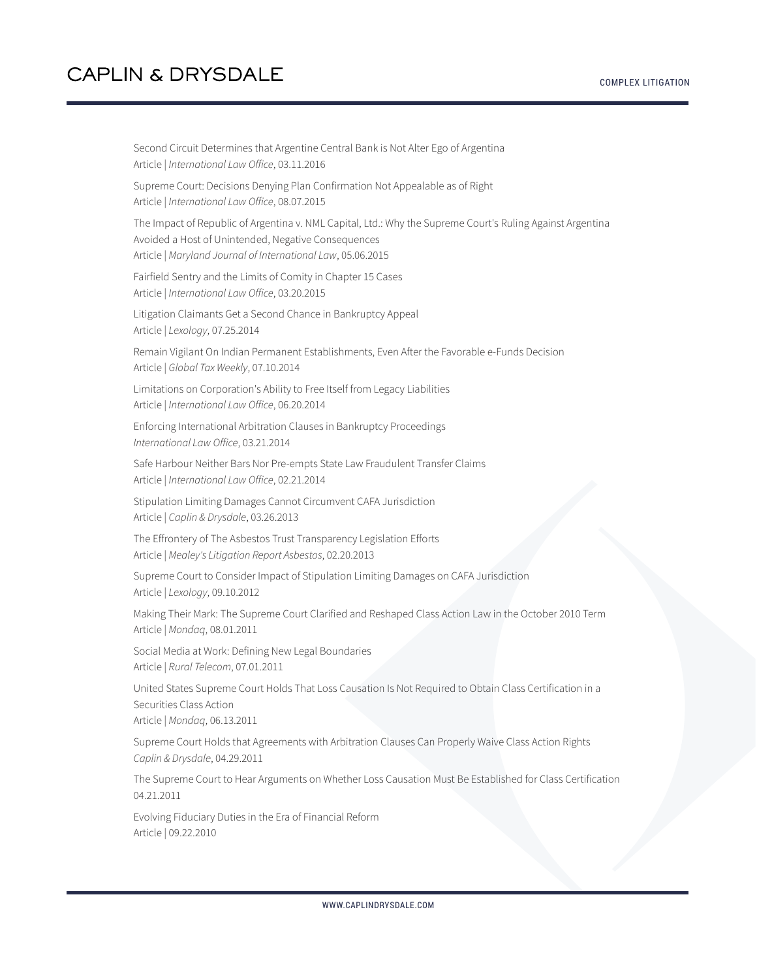COMPLEX LITIGATION

| Second Circuit Determines that Argentine Central Bank is Not Alter Ego of Argentina<br>Article   International Law Office, 03.11.2016                                                                                            |
|----------------------------------------------------------------------------------------------------------------------------------------------------------------------------------------------------------------------------------|
| Supreme Court: Decisions Denying Plan Confirmation Not Appealable as of Right<br>Article   International Law Office, 08.07.2015                                                                                                  |
| The Impact of Republic of Argentina v. NML Capital, Ltd.: Why the Supreme Court's Ruling Against Argentina<br>Avoided a Host of Unintended, Negative Consequences<br>Article   Maryland Journal of International Law, 05.06.2015 |
| Fairfield Sentry and the Limits of Comity in Chapter 15 Cases<br>Article   International Law Office, 03.20.2015                                                                                                                  |
| Litigation Claimants Get a Second Chance in Bankruptcy Appeal<br>Article   Lexology, 07.25.2014                                                                                                                                  |
| Remain Vigilant On Indian Permanent Establishments, Even After the Favorable e-Funds Decision<br>Article   Global Tax Weekly, 07.10.2014                                                                                         |
| Limitations on Corporation's Ability to Free Itself from Legacy Liabilities<br>Article   International Law Office, 06.20.2014                                                                                                    |
| Enforcing International Arbitration Clauses in Bankruptcy Proceedings<br>International Law Office, 03.21.2014                                                                                                                    |
| Safe Harbour Neither Bars Nor Pre-empts State Law Fraudulent Transfer Claims<br>Article   International Law Office, 02.21.2014                                                                                                   |
| Stipulation Limiting Damages Cannot Circumvent CAFA Jurisdiction<br>Article   Caplin & Drysdale, 03.26.2013                                                                                                                      |
| The Effrontery of The Asbestos Trust Transparency Legislation Efforts<br>Article   Mealey's Litigation Report Asbestos, 02.20.2013                                                                                               |
| Supreme Court to Consider Impact of Stipulation Limiting Damages on CAFA Jurisdiction<br>Article   Lexology, 09.10.2012                                                                                                          |
| Making Their Mark: The Supreme Court Clarified and Reshaped Class Action Law in the October 2010 Term<br>Article   Mondag, 08.01.2011                                                                                            |
| Social Media at Work: Defining New Legal Boundaries<br>Article   Rural Telecom, 07.01.2011                                                                                                                                       |
| United States Supreme Court Holds That Loss Causation Is Not Required to Obtain Class Certification in a<br>Securities Class Action<br>Article   Mondaq, 06.13.2011                                                              |
| Supreme Court Holds that Agreements with Arbitration Clauses Can Properly Waive Class Action Rights<br>Caplin & Drysdale, 04.29.2011                                                                                             |
| The Supreme Court to Hear Arguments on Whether Loss Causation Must Be Established for Class Certification<br>04.21.2011                                                                                                          |
| Evolving Fiduciary Duties in the Era of Financial Reform<br>Article   09.22.2010                                                                                                                                                 |
|                                                                                                                                                                                                                                  |